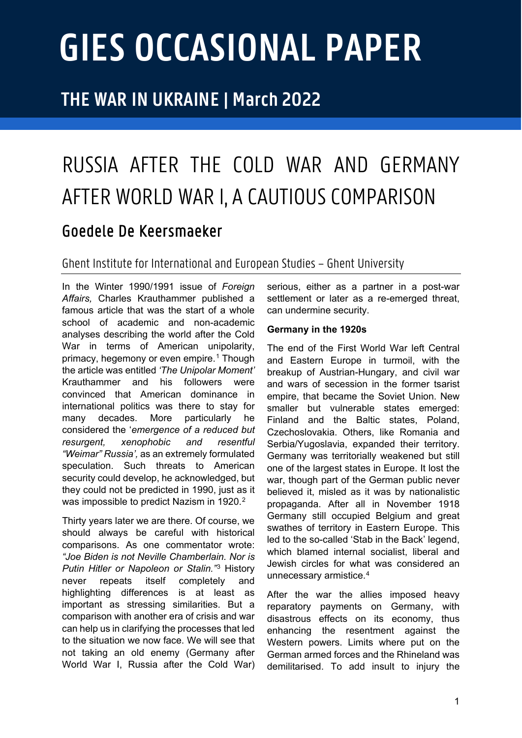# **GIES OCCASIONAL PAPER**

# **THE WAR IN UKRAINE | March 2022**

# RUSSIA AFTER THE COLD WAR AND GERMANY AFTER WORLD WAR I, A CAUTIOUS COMPARISON

## Goedele De Keersmaeker

### Ghent Institute for Internationaland European Studies – Ghent University

In the Winter 1990/1991 issue of *Foreign Affairs,* Charles Krauthammer published a famous article that was the start of a whole school of academic and non-academic analyses describing the world after the Cold War in terms of American unipolarity, primacy, hegemony or even empire.<sup>[1](#page-6-0)</sup> Though the article was entitled *'The Unipolar Moment'* Krauthammer and his followers were convinced that American dominance in international politics was there to stay for many decades. More particularly he considered the '*emergence of a reduced but resurgent, xenophobic and resentful "Weimar" Russia',* as an extremely formulated speculation. Such threats to American security could develop, he acknowledged, but they could not be predicted in 1990, just as it was impossible to predict Nazism in 19[2](#page-6-1)0.<sup>2</sup>

Thirty years later we are there. Of course, we should always be careful with historical comparisons. As one commentator wrote: *"Joe Biden is not Neville Chamberlain. Nor is Putin Hitler or Napoleon or Stalin."*[3](#page-6-2) History never repeats itself completely and highlighting differences is at least as important as stressing similarities. But a comparison with another era of crisis and war can help us in clarifying the processes that led to the situation we now face. We will see that not taking an old enemy (Germany after World War I, Russia after the Cold War) serious, either as a partner in a post-war settlement or later as a re-emerged threat. can undermine security.

#### **Germany in the 1920s**

The end of the First World War left Central and Eastern Europe in turmoil, with the breakup of Austrian-Hungary, and civil war and wars of secession in the former tsarist empire, that became the Soviet Union. New smaller but vulnerable states emerged: Finland and the Baltic states, Poland, Czechoslovakia. Others, like Romania and Serbia/Yugoslavia, expanded their territory. Germany was territorially weakened but still one of the largest states in Europe. It lost the war, though part of the German public never believed it, misled as it was by nationalistic propaganda. After all in November 1918 Germany still occupied Belgium and great swathes of territory in Eastern Europe. This led to the so-called 'Stab in the Back' legend, which blamed internal socialist, liberal and Jewish circles for what was considered an unnecessary armistice.[4](#page-6-3)

After the war the allies imposed heavy reparatory payments on Germany, with disastrous effects on its economy, thus enhancing the resentment against the Western powers. Limits where put on the German armed forces and the Rhineland was demilitarised. To add insult to injury the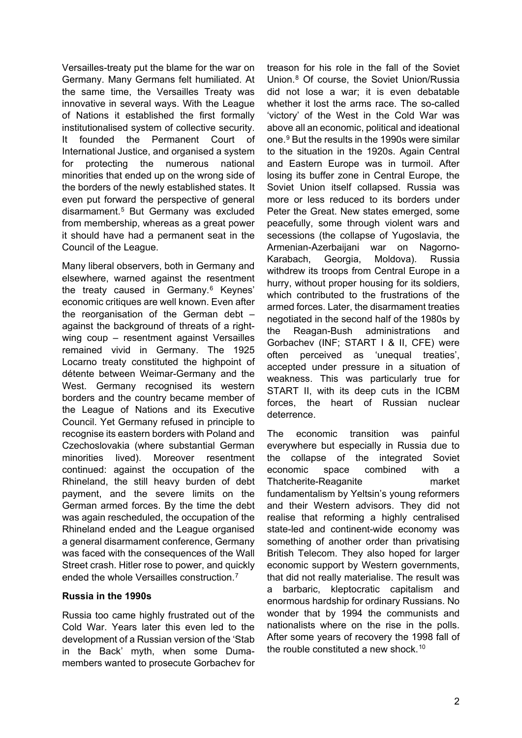Versailles-treaty put the blame for the war on Germany. Many Germans felt humiliated. At the same time, the Versailles Treaty was innovative in several ways. With the League of Nations it established the first formally institutionalised system of collective security. It founded the Permanent Court of International Justice, and organised a system for protecting the numerous national minorities that ended up on the wrong side of the borders of the newly established states. It even put forward the perspective of general disarmament.[5](#page-6-4) But Germany was excluded from membership, whereas as a great power it should have had a permanent seat in the Council of the League.

Many liberal observers, both in Germany and elsewhere, warned against the resentment the treaty caused in Germany.<sup>[6](#page-6-5)</sup> Keynes' economic critiques are well known. Even after the reorganisation of the German debt – against the background of threats of a rightwing coup – resentment against Versailles remained vivid in Germany. The 1925 Locarno treaty constituted the highpoint of détente between Weimar-Germany and the West. Germany recognised its western borders and the country became member of the League of Nations and its Executive Council. Yet Germany refused in principle to recognise its eastern borders with Poland and Czechoslovakia (where substantial German minorities lived). Moreover resentment continued: against the occupation of the Rhineland, the still heavy burden of debt payment, and the severe limits on the German armed forces. By the time the debt was again rescheduled, the occupation of the Rhineland ended and the League organised a general disarmament conference, Germany was faced with the consequences of the Wall Street crash. Hitler rose to power, and quickly ended the whole Versailles construction.[7](#page-6-6)

#### **Russia in the 1990s**

Russia too came highly frustrated out of the Cold War. Years later this even led to the development of a Russian version of the 'Stab in the Back' myth, when some Dumamembers wanted to prosecute Gorbachev for treason for his role in the fall of the Soviet Union.[8](#page-7-0) Of course, the Soviet Union/Russia did not lose a war; it is even debatable whether it lost the arms race. The so-called 'victory' of the West in the Cold War was above all an economic, political and ideational one.[9](#page-7-1) But the results in the 1990s were similar to the situation in the 1920s. Again Central and Eastern Europe was in turmoil. After losing its buffer zone in Central Europe, the Soviet Union itself collapsed. Russia was more or less reduced to its borders under Peter the Great. New states emerged, some peacefully, some through violent wars and secessions (the collapse of Yugoslavia, the Armenian-Azerbaijani war on Nagorno-Karabach, Georgia, Moldova). Russia withdrew its troops from Central Europe in a hurry, without proper housing for its soldiers, which contributed to the frustrations of the armed forces. Later, the disarmament treaties negotiated in the second half of the 1980s by the Reagan-Bush administrations and Gorbachev (INF; START I & II, CFE) were often perceived as 'unequal treaties', accepted under pressure in a situation of weakness. This was particularly true for START II, with its deep cuts in the ICBM forces, the heart of Russian nuclear deterrence.

The economic transition was painful everywhere but especially in Russia due to the collapse of the integrated Soviet economic space combined with a Thatcherite-Reaganite market fundamentalism by Yeltsin's young reformers and their Western advisors. They did not realise that reforming a highly centralised state-led and continent-wide economy was something of another order than privatising British Telecom. They also hoped for larger economic support by Western governments, that did not really materialise. The result was a barbaric, kleptocratic capitalism and enormous hardship for ordinary Russians. No wonder that by 1994 the communists and nationalists where on the rise in the polls. After some years of recovery the 1998 fall of the rouble constituted a new shock  $10$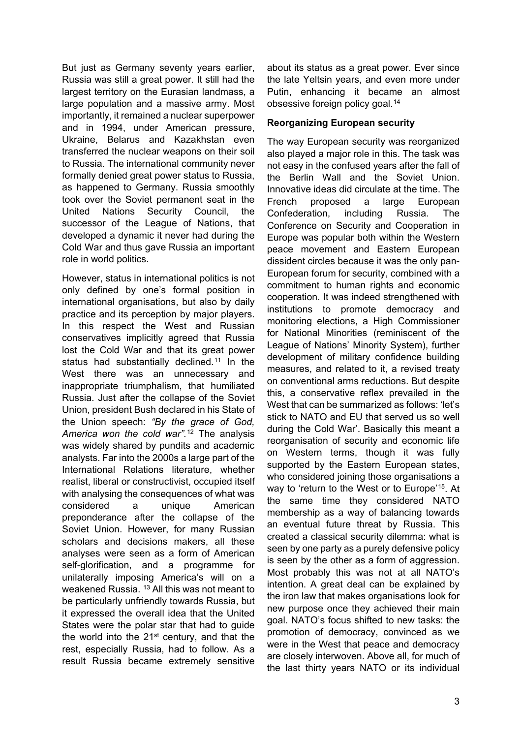But just as Germany seventy years earlier, Russia was still a great power. It still had the largest territory on the Eurasian landmass, a large population and a massive army. Most importantly, it remained a nuclear superpower and in 1994, under American pressure, Ukraine, Belarus and Kazakhstan even transferred the nuclear weapons on their soil to Russia. The international community never formally denied great power status to Russia, as happened to Germany. Russia smoothly took over the Soviet permanent seat in the United Nations Security Council, the successor of the League of Nations, that developed a dynamic it never had during the Cold War and thus gave Russia an important role in world politics.

However, status in international politics is not only defined by one's formal position in international organisations, but also by daily practice and its perception by major players. In this respect the West and Russian conservatives implicitly agreed that Russia lost the Cold War and that its great power status had substantially declined.<sup>[11](#page-7-3)</sup> In the West there was an unnecessary and inappropriate triumphalism, that humiliated Russia. Just after the collapse of the Soviet Union, president Bush declared in his State of the Union speech: *"By the grace of God, America won the cold war".*[12](#page-7-4) The analysis was widely shared by pundits and academic analysts. Far into the 2000s a large part of the International Relations literature, whether realist, liberal or constructivist, occupied itself with analysing the consequences of what was considered a unique American preponderance after the collapse of the Soviet Union. However, for many Russian scholars and decisions makers, all these analyses were seen as a form of American self-glorification, and a programme for unilaterally imposing America's will on a weakened Russia. [13](#page-7-5) All this was not meant to be particularly unfriendly towards Russia, but it expressed the overall idea that the United States were the polar star that had to guide the world into the  $21^{st}$  century, and that the rest, especially Russia, had to follow. As a result Russia became extremely sensitive

about its status as a great power. Ever since the late Yeltsin years, and even more under Putin, enhancing it became an almost obsessive foreign policy goal.[14](#page-7-6)

#### **Reorganizing European security**

The way European security was reorganized also played a major role in this. The task was not easy in the confused years after the fall of the Berlin Wall and the Soviet Union. Innovative ideas did circulate at the time. The French proposed a large European Confederation, including Russia. The Conference on Security and Cooperation in Europe was popular both within the Western peace movement and Eastern European dissident circles because it was the only pan-European forum for security, combined with a commitment to human rights and economic cooperation. It was indeed strengthened with institutions to promote democracy and monitoring elections, a High Commissioner for National Minorities (reminiscent of the League of Nations' Minority System), further development of military confidence building measures, and related to it, a revised treaty on conventional arms reductions. But despite this, a conservative reflex prevailed in the West that can be summarized as follows: 'let's stick to NATO and EU that served us so well during the Cold War'. Basically this meant a reorganisation of security and economic life on Western terms, though it was fully supported by the Eastern European states, who considered joining those organisations a way to 'return to the West or to Europe'[15](#page-7-7). At the same time they considered NATO membership as a way of balancing towards an eventual future threat by Russia. This created a classical security dilemma: what is seen by one party as a purely defensive policy is seen by the other as a form of aggression. Most probably this was not at all NATO's intention. A great deal can be explained by the iron law that makes organisations look for new purpose once they achieved their main goal. NATO's focus shifted to new tasks: the promotion of democracy, convinced as we were in the West that peace and democracy are closely interwoven. Above all, for much of the last thirty years NATO or its individual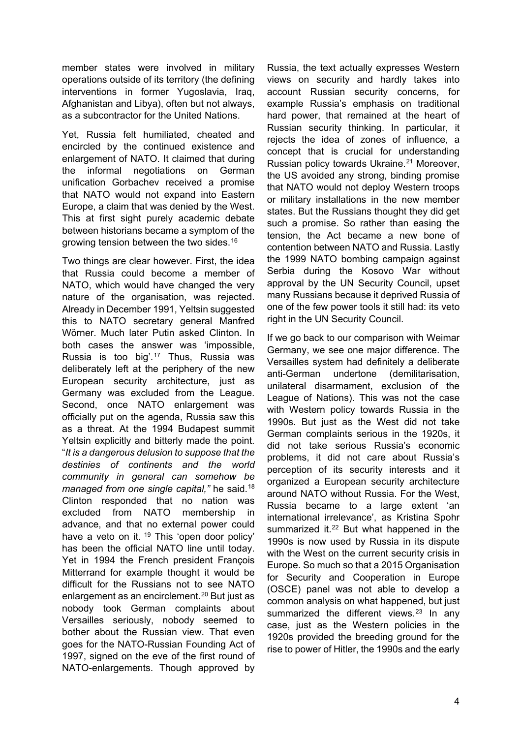member states were involved in military operations outside of its territory (the defining interventions in former Yugoslavia, Iraq, Afghanistan and Libya), often but not always, as a subcontractor for the United Nations.

Yet, Russia felt humiliated, cheated and encircled by the continued existence and enlargement of NATO. It claimed that during the informal negotiations on German unification Gorbachev received a promise that NATO would not expand into Eastern Europe, a claim that was denied by the West. This at first sight purely academic debate between historians became a symptom of the growing tension between the two sides.[16](#page-7-8)

Two things are clear however. First, the idea that Russia could become a member of NATO, which would have changed the very nature of the organisation, was rejected. Already in December 1991, Yeltsin suggested this to NATO secretary general Manfred Wörner. Much later Putin asked Clinton. In both cases the answer was 'impossible, Russia is too big'.[17](#page-7-9) Thus, Russia was deliberately left at the periphery of the new European security architecture, just as Germany was excluded from the League. Second, once NATO enlargement was officially put on the agenda, Russia saw this as a threat. At the 1994 Budapest summit Yeltsin explicitly and bitterly made the point. "*It is a dangerous delusion to suppose that the destinies of continents and the world community in general can somehow be managed from one single capital,"* he said.[18](#page-7-10) Clinton responded that no nation was excluded from NATO membership in advance, and that no external power could have a veto on it. <sup>[19](#page-7-11)</sup> This 'open door policy' has been the official NATO line until today. Yet in 1994 the French president François Mitterrand for example thought it would be difficult for the Russians not to see NATO enlargement as an encirclement.<sup>[20](#page-7-12)</sup> But just as nobody took German complaints about Versailles seriously, nobody seemed to bother about the Russian view. That even goes for the NATO-Russian Founding Act of 1997, signed on the eve of the first round of NATO-enlargements. Though approved by

Russia, the text actually expresses Western views on security and hardly takes into account Russian security concerns, for example Russia's emphasis on traditional hard power, that remained at the heart of Russian security thinking. In particular, it rejects the idea of zones of influence, a concept that is crucial for understanding Russian policy towards Ukraine.<sup>[21](#page-7-13)</sup> Moreover, the US avoided any strong, binding promise that NATO would not deploy Western troops or military installations in the new member states. But the Russians thought they did get such a promise. So rather than easing the tension, the Act became a new bone of contention between NATO and Russia. Lastly the 1999 NATO bombing campaign against Serbia during the Kosovo War without approval by the UN Security Council, upset many Russians because it deprived Russia of one of the few power tools it still had: its veto right in the UN Security Council.

If we go back to our comparison with Weimar Germany, we see one major difference. The Versailles system had definitely a deliberate anti-German undertone (demilitarisation, unilateral disarmament, exclusion of the League of Nations). This was not the case with Western policy towards Russia in the 1990s. But just as the West did not take German complaints serious in the 1920s, it did not take serious Russia's economic problems, it did not care about Russia's perception of its security interests and it organized a European security architecture around NATO without Russia. For the West, Russia became to a large extent 'an international irrelevance', as Kristina Spohr summarized it.<sup>[22](#page-7-14)</sup> But what happened in the 1990s is now used by Russia in its dispute with the West on the current security crisis in Europe. So much so that a 2015 Organisation for Security and Cooperation in Europe (OSCE) panel was not able to develop a common analysis on what happened, but just summarized the different views. $23$  In any case, just as the Western policies in the 1920s provided the breeding ground for the rise to power of Hitler, the 1990s and the early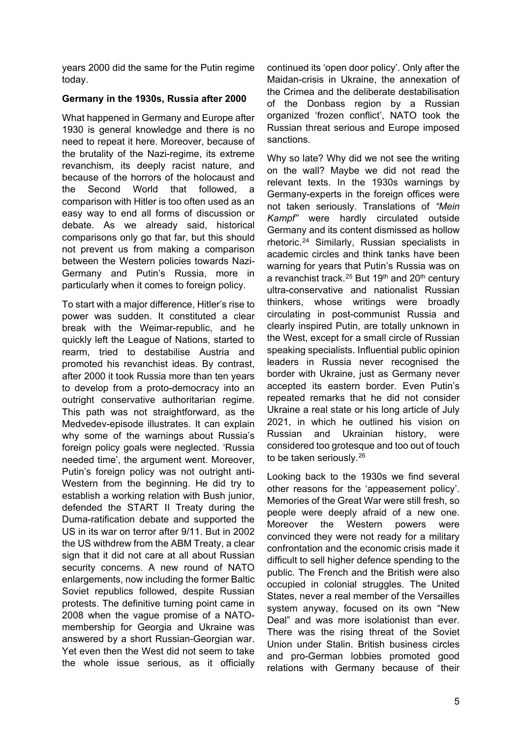years 2000 did the same for the Putin regime today.

#### **Germany in the 1930s, Russia after 2000**

What happened in Germany and Europe after 1930 is general knowledge and there is no need to repeat it here. Moreover, because of the brutality of the Nazi-regime, its extreme revanchism, its deeply racist nature, and because of the horrors of the holocaust and the Second World that followed a comparison with Hitler is too often used as an easy way to end all forms of discussion or debate. As we already said, historical comparisons only go that far, but this should not prevent us from making a comparison between the Western policies towards Nazi-Germany and Putin's Russia, more in particularly when it comes to foreign policy.

To start with a major difference, Hitler's rise to power was sudden. It constituted a clear break with the Weimar-republic, and he quickly left the League of Nations, started to rearm, tried to destabilise Austria and promoted his revanchist ideas. By contrast, after 2000 it took Russia more than ten years to develop from a proto-democracy into an outright conservative authoritarian regime. This path was not straightforward, as the Medvedev-episode illustrates. It can explain why some of the warnings about Russia's foreign policy goals were neglected. 'Russia needed time', the argument went. Moreover, Putin's foreign policy was not outright anti-Western from the beginning. He did try to establish a working relation with Bush junior, defended the START II Treaty during the Duma-ratification debate and supported the US in its war on terror after 9/11. But in 2002 the US withdrew from the ABM Treaty, a clear sign that it did not care at all about Russian security concerns. A new round of NATO enlargements, now including the former Baltic Soviet republics followed, despite Russian protests. The definitive turning point came in 2008 when the vague promise of a NATOmembership for Georgia and Ukraine was answered by a short Russian-Georgian war. Yet even then the West did not seem to take the whole issue serious, as it officially

continued its 'open door policy'. Only after the Maidan-crisis in Ukraine, the annexation of the Crimea and the deliberate destabilisation of the Donbass region by a Russian organized 'frozen conflict', NATO took the Russian threat serious and Europe imposed sanctions.

Why so late? Why did we not see the writing on the wall? Maybe we did not read the relevant texts. In the 1930s warnings by Germany-experts in the foreign offices were not taken seriously. Translations of *"Mein Kampf"* were hardly circulated outside Germany and its content dismissed as hollow rhetoric.[24](#page-7-16) Similarly, Russian specialists in academic circles and think tanks have been warning for years that Putin's Russia was on a revanchist track.<sup>[25](#page-7-17)</sup> But 19<sup>th</sup> and 20<sup>th</sup> century ultra-conservative and nationalist Russian thinkers, whose writings were broadly circulating in post-communist Russia and clearly inspired Putin, are totally unknown in the West, except for a small circle of Russian speaking specialists. Influential public opinion leaders in Russia never recognised the border with Ukraine, just as Germany never accepted its eastern border. Even Putin's repeated remarks that he did not consider Ukraine a real state or his long article of July 2021, in which he outlined his vision on Russian and Ukrainian history, were considered too grotesque and too out of touch to be taken seriously.[26](#page-7-18)

Looking back to the 1930s we find several other reasons for the 'appeasement policy'. Memories of the Great War were still fresh, so people were deeply afraid of a new one. Moreover the Western powers were convinced they were not ready for a military confrontation and the economic crisis made it difficult to sell higher defence spending to the public. The French and the British were also occupied in colonial struggles. The United States, never a real member of the Versailles system anyway, focused on its own "New Deal" and was more isolationist than ever. There was the rising threat of the Soviet Union under Stalin. British business circles and pro-German lobbies promoted good relations with Germany because of their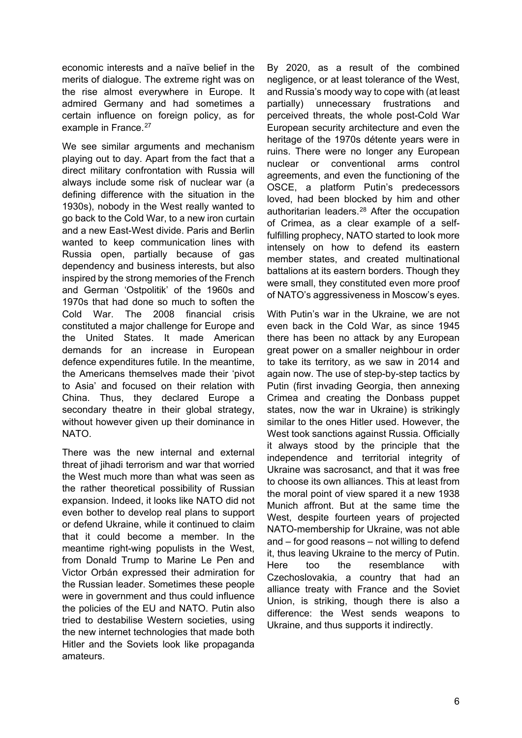economic interests and a naïve belief in the merits of dialogue. The extreme right was on the rise almost everywhere in Europe. It admired Germany and had sometimes a certain influence on foreign policy, as for example in France.<sup>[27](#page-7-19)</sup>

We see similar arguments and mechanism playing out to day. Apart from the fact that a direct military confrontation with Russia will always include some risk of nuclear war (a defining difference with the situation in the 1930s), nobody in the West really wanted to go back to the Cold War, to a new iron curtain and a new East-West divide. Paris and Berlin wanted to keep communication lines with Russia open, partially because of gas dependency and business interests, but also inspired by the strong memories of the French and German 'Ostpolitik' of the 1960s and 1970s that had done so much to soften the Cold War. The 2008 financial crisis constituted a major challenge for Europe and the United States. It made American demands for an increase in European defence expenditures futile. In the meantime, the Americans themselves made their 'pivot to Asia' and focused on their relation with China. Thus, they declared Europe a secondary theatre in their global strategy, without however given up their dominance in NATO.

There was the new internal and external threat of jihadi terrorism and war that worried the West much more than what was seen as the rather theoretical possibility of Russian expansion. Indeed, it looks like NATO did not even bother to develop real plans to support or defend Ukraine, while it continued to claim that it could become a member. In the meantime right-wing populists in the West, from Donald Trump to Marine Le Pen and Victor Orbán expressed their admiration for the Russian leader. Sometimes these people were in government and thus could influence the policies of the EU and NATO. Putin also tried to destabilise Western societies, using the new internet technologies that made both Hitler and the Soviets look like propaganda amateurs.

By 2020, as a result of the combined negligence, or at least tolerance of the West, and Russia's moody way to cope with (at least partially) unnecessary frustrations and perceived threats, the whole post-Cold War European security architecture and even the heritage of the 1970s détente years were in ruins. There were no longer any European nuclear or conventional arms control agreements, and even the functioning of the OSCE, a platform Putin's predecessors loved, had been blocked by him and other authoritarian leaders.[28](#page-8-0) After the occupation of Crimea, as a clear example of a selffulfilling prophecy, NATO started to look more intensely on how to defend its eastern member states, and created multinational battalions at its eastern borders. Though they were small, they constituted even more proof of NATO's aggressiveness in Moscow's eyes.

With Putin's war in the Ukraine, we are not even back in the Cold War, as since 1945 there has been no attack by any European great power on a smaller neighbour in order to take its territory, as we saw in 2014 and again now. The use of step-by-step tactics by Putin (first invading Georgia, then annexing Crimea and creating the Donbass puppet states, now the war in Ukraine) is strikingly similar to the ones Hitler used. However, the West took sanctions against Russia. Officially it always stood by the principle that the independence and territorial integrity of Ukraine was sacrosanct, and that it was free to choose its own alliances. This at least from the moral point of view spared it a new 1938 Munich affront. But at the same time the West, despite fourteen years of projected NATO-membership for Ukraine, was not able and – for good reasons – not willing to defend it, thus leaving Ukraine to the mercy of Putin. Here too the resemblance with Czechoslovakia, a country that had an alliance treaty with France and the Soviet Union, is striking, though there is also a difference: the West sends weapons to Ukraine, and thus supports it indirectly.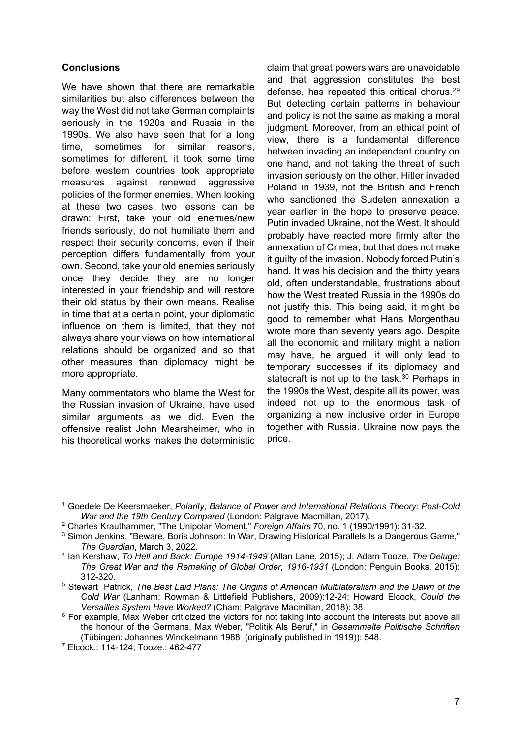#### **Conclusions**

We have shown that there are remarkable similarities but also differences between the way the West did not take German complaints seriously in the 1920s and Russia in the 1990s. We also have seen that for a long time, sometimes for similar reasons, sometimes for different, it took some time before western countries took appropriate measures against renewed aggressive policies of the former enemies. When looking at these two cases, two lessons can be drawn: First, take your old enemies/new friends seriously, do not humiliate them and respect their security concerns, even if their perception differs fundamentally from your own. Second, take your old enemies seriously once they decide they are no longer interested in your friendship and will restore their old status by their own means. Realise in time that at a certain point, your diplomatic influence on them is limited, that they not always share your views on how international relations should be organized and so that other measures than diplomacy might be more appropriate.

Many commentators who blame the West for the Russian invasion of Ukraine, have used similar arguments as we did. Even the offensive realist John Mearsheimer, who in his theoretical works makes the deterministic

claim that great powers wars are unavoidable and that aggression constitutes the best defense, has repeated this critical chorus.[29](#page-8-1) But detecting certain patterns in behaviour and policy is not the same as making a moral judgment. Moreover, from an ethical point of view, there is a fundamental difference between invading an independent country on one hand, and not taking the threat of such invasion seriously on the other. Hitler invaded Poland in 1939, not the British and French who sanctioned the Sudeten annexation a year earlier in the hope to preserve peace. Putin invaded Ukraine, not the West. It should probably have reacted more firmly after the annexation of Crimea, but that does not make it guilty of the invasion. Nobody forced Putin's hand. It was his decision and the thirty years old, often understandable, frustrations about how the West treated Russia in the 1990s do not justify this. This being said, it might be good to remember what Hans Morgenthau wrote more than seventy years ago. Despite all the economic and military might a nation may have, he argued, it will only lead to temporary successes if its diplomacy and statecraft is not up to the task.<sup>[30](#page-8-2)</sup> Perhaps in the 1990s the West, despite all its power, was indeed not up to the enormous task of organizing a new inclusive order in Europe together with Russia. Ukraine now pays the price.

<span id="page-6-0"></span><sup>1</sup> Goedele De Keersmaeker, *Polarity, Balance of Power and International Relations Theory: Post-Cold War and the 19th Century Compared* (London: Palgrave Macmillan, 2017).

<span id="page-6-1"></span><sup>2</sup> Charles Krauthammer, "The Unipolar Moment," *Foreign Affairs* 70, no. 1 (1990/1991): 31-32.

<span id="page-6-2"></span><sup>3</sup> Simon Jenkins, "Beware, Boris Johnson: In War, Drawing Historical Parallels Is a Dangerous Game," *The Guardian*, March 3, 2022.

<span id="page-6-3"></span><sup>4</sup> Ian Kershaw, *To Hell and Back: Europe 1914-1949* (Allan Lane, 2015); J. Adam Tooze, *The Deluge: The Great War and the Remaking of Global Order, 1916-1931* (London: Penguin Books, 2015): 312-320.

<span id="page-6-4"></span><sup>5</sup> Stewart Patrick, *The Best Laid Plans: The Origins of American Multilateralism and the Dawn of the Cold War* (Lanham: Rowman & Littlefield Publishers, 2009):12-24; Howard Elcock, *Could the Versailles System Have Worked?* (Cham: Palgrave Macmillan, 2018): 38

<span id="page-6-5"></span><sup>&</sup>lt;sup>6</sup> For example, Max Weber criticized the victors for not taking into account the interests but above all the honour of the Germans. Max Weber, "Politik Als Beruf," in *Gesammelte Politische Schriften* (Tübingen: Johannes Winckelmann 1988 (originally published in 1919)): 548.

<span id="page-6-6"></span><sup>7</sup> Elcock.: 114-124; Tooze.: 462-477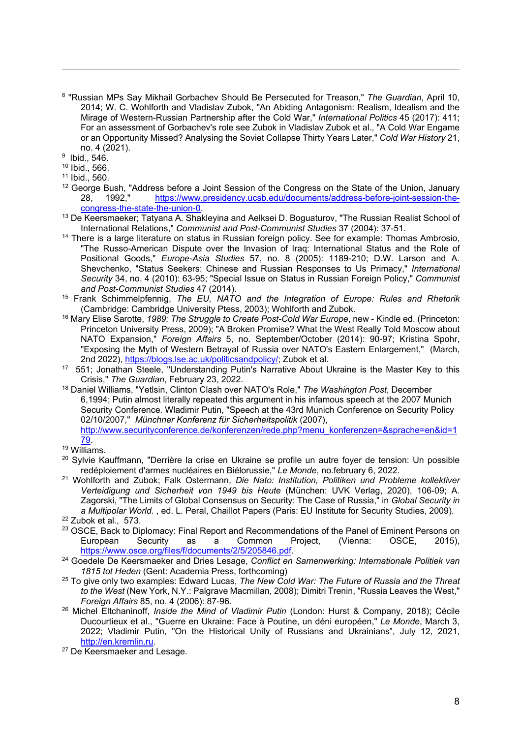<span id="page-7-0"></span><sup>8</sup> "Russian MPs Say Mikhail Gorbachev Should Be Persecuted for Treason," *The Guardian*, April 10, 2014; W. C. Wohlforth and Vladislav Zubok, "An Abiding Antagonism: Realism, Idealism and the Mirage of Western-Russian Partnership after the Cold War," *International Politics* 45 (2017): 411; For an assessment of Gorbachev's role see Zubok in Vladislav Zubok et al., "A Cold War Engame or an Opportunity Missed? Analysing the Soviet Collapse Thirty Years Later," *Cold War History* 21, no. 4 (2021).

<span id="page-7-1"></span>9 Ibid., 546.

- <span id="page-7-2"></span><sup>10</sup> Ibid., 566.
- <span id="page-7-3"></span><sup>11</sup> Ibid., 560.
- <span id="page-7-4"></span><sup>12</sup> George Bush, "Address before a Joint Session of the Congress on the State of the Union, January<br>28. **1992.** https://www.presidency.ucsb.edu/documents/address-before-joint-session-the-28, 1992, https://www.presidency.ucsb.edu/documents/address-before-joint-session-the-<br>congress-the-state-the-union-0.
- <span id="page-7-5"></span> $13$  De Keersmaeker; Tatyana A. Shakleyina and Aelksei D. Boguaturov, "The Russian Realist School of International Relations," *Communist and Post-Communist Studies* 37 (2004): 37-51.
- <span id="page-7-6"></span><sup>14</sup> There is a large literature on status in Russian foreign policy. See for example: Thomas Ambrosio, "The Russo-American Dispute over the Invasion of Iraq: International Status and the Role of Positional Goods," *Europe-Asia Studies* 57, no. 8 (2005): 1189-210; D.W. Larson and A. Shevchenko, "Status Seekers: Chinese and Russian Responses to Us Primacy," *International Security* 34, no. 4 (2010): 63-95; "Special Issue on Status in Russian Foreign Policy," *Communist and Post-Communist Studies* 47 (2014).
- <span id="page-7-7"></span><sup>15</sup> Frank Schimmelpfennig, *The EU, NATO and the Integration of Europe: Rules and Rhetorik*  (Cambridge: Cambridge University Ptess, 2003); Wohlforth and Zubok.
- <span id="page-7-8"></span><sup>16</sup> Mary Elise Sarotte, *1989: The Struggle to Create Post-Cold War Europe*, new - Kindle ed. (Princeton: Princeton University Press, 2009); "A Broken Promise? What the West Really Told Moscow about NATO Expansion," *Foreign Affairs* 5, no. September/October (2014): 90-97; Kristina Spohr, "Exposing the Myth of Western Betrayal of Russia over NATO's Eastern Enlargement," (March, 2nd 2022)[, https://blogs.lse.ac.uk/politicsandpolicy/;](https://blogs.lse.ac.uk/politicsandpolicy/) Zubok et al.
- <span id="page-7-9"></span>17 551; Jonathan Steele, "Understanding Putin's Narrative About Ukraine is the Master Key to this<br>Crisis," The Guardian, February 23, 2022.
- <span id="page-7-10"></span><sup>18</sup> Daniel Williams, "Yetlsin, Clinton Clash over NATO's Role," The Washington Post, December 6,1994; Putin almost literally repeated this argument in his infamous speech at the 2007 Munich Security Conference. Wladimir Putin, "Speech at the 43rd Munich Conference on Security Policy 02/10/2007," *Münchner Konferenz für Sicherheitspolitik* (2007), [http://www.securityconference.de/konferenzen/rede.php?menu\\_konferenzen=&sprache=en&id=1](http://www.securityconference.de/konferenzen/rede.php?menu_konferenzen=&sprache=en&id=179)

- $\frac{79}{19}$  Williams.
- <span id="page-7-12"></span><span id="page-7-11"></span><sup>20</sup> Sylvie Kauffmann, "Derrière la crise en Ukraine se profile un autre foyer de tension: Un possible redéploiement d'armes nucléaires en Biélorussie," Le Monde, no february 6, 2022.
- <span id="page-7-13"></span><sup>21</sup> Wohlforth and Zubok; Falk Ostermann, *Die Nato: Institution, Politiken und Probleme kollektiver Verteidigung und Sicherheit von 1949 bis Heute* (München: UVK Verlag, 2020), 106-09; A. Zagorski, "The Limits of Global Consensus on Security: The Case of Russia," in *Global Security in a Multipolar World.* , ed. L. Peral, Chaillot Papers (Paris: EU Institute for Security Studies, 2009). <sup>22</sup> Zubok et al., 573.
- <span id="page-7-15"></span><span id="page-7-14"></span><sup>23</sup> OSCE, Back to Diplomacy: Final Report and Recommendations of the Panel of Eminent Persons on European Security as a Common Project, (Vienna: OSCE, 2015),
- <span id="page-7-16"></span>[https://www.osce.org/files/f/documents/2/5/205846.pdf.](https://www.osce.org/files/f/documents/2/5/205846.pdf) 24 Goedele De Keersmaeker and Dries Lesage, *Conflict en Samenwerking: Internationale Politiek van 1815 tot Heden* (Gent: Academia Press, forthcoming)
- <span id="page-7-17"></span><sup>25</sup> To give only two examples: Edward Lucas, *The New Cold War: The Future of Russia and the Threat to the West* (New York, N.Y.: Palgrave Macmillan, 2008); Dimitri Trenin, "Russia Leaves the West,"
- <span id="page-7-18"></span><sup>26</sup> Michel Eltchaninoff, *Inside the Mind of Vladimir Putin* (London: Hurst & Company, 2018); Cécile Ducourtieux et al., "Guerre en Ukraine: Face à Poutine, un déni européen," *Le Monde*, March 3, 2022; Vladimir Putin, "On the Historical Unity of Russians and Ukrainians", July 12, 2021, [http://en.kremlin.ru.](http://en.kremlin.ru/)<br><sup>27</sup> De Keersmaeker and Lesage.

<span id="page-7-19"></span>